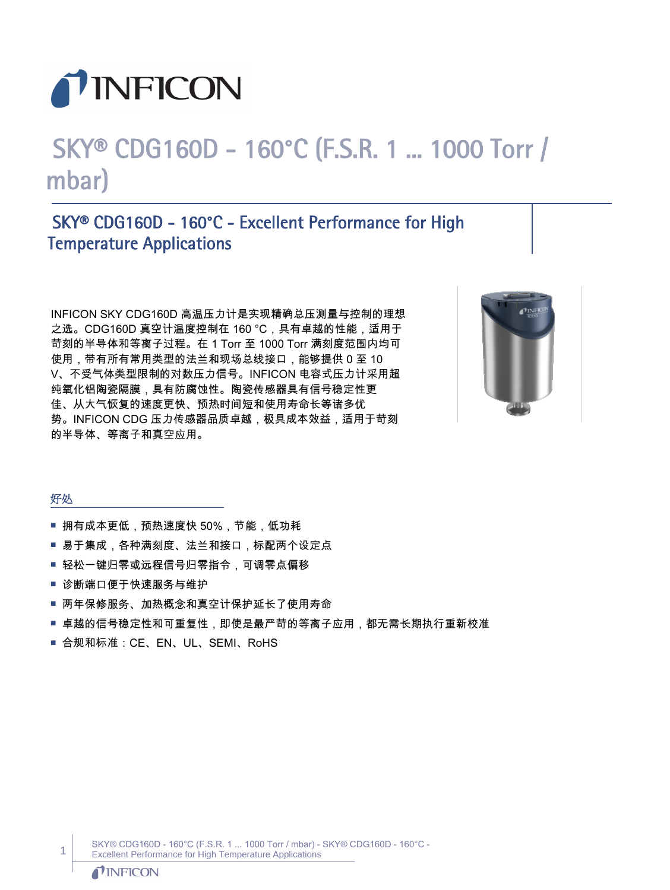

# SKY® CDG160D - 160°C (F.S.R. 1 ... 1000 Torr / mbar)

# SKY® CDG160D - 160°C - Excellent Performance for High Temperature Applications

INFICON SKY CDG160D 高温压力计是实现精确总压测量与控制的理想 之选。CDG160D 真空计温度控制在 160 °C,具有卓越的性能,适用于 苛刻的半导体和等离子过程。在 1 Torr 至 1000 Torr 满刻度范围内均可 使用,带有所有常用类型的法兰和现场总线接口,能够提供 0 至 10 V、不受气体类型限制的对数压力信号。INFICON 电容式压力计采用超 纯氧化铝陶瓷隔膜,具有防腐蚀性。陶瓷传感器具有信号稳定性更 佳、从大气恢复的速度更快、预热时间短和使用寿命长等诸多优 势。INFICON CDG 压力传感器品质卓越,极具成本效益,适用于苛刻 的半导体、等离子和真空应用。



#### 好处

- 拥有成本更低,预热速度快 50%,节能,低功耗
- 易于集成,各种满刻度、法兰和接口,标配两个设定点
- 轻松一键归零或远程信号归零指令,可调零点偏移
- 诊断端口便于快速服务与维护
- 两年保修服务、加热概念和真空计保护延长了使用寿命
- 卓越的信号稳定性和可重复性,即使是最严苛的等离子应用,都无需长期执行重新校准
- 合规和标准: CE、EN、UL、SEMI、RoHS

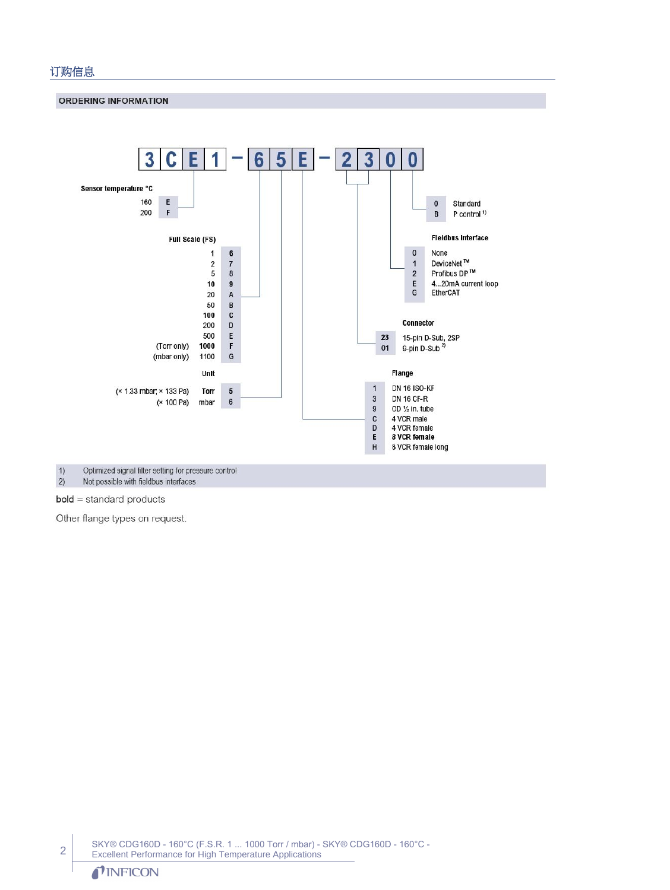#### 订购信息

**ORDERING INFORMATION** 



 $1)$ Optimized signal filter setting for pressure control  $\overline{2}$ Not possible with fieldbus interfaces

**bold** = standard products

Other flange types on request.

SKY® CDG160D - 160°C (F.S.R. 1 ... 1000 Torr / mbar) - SKY® CDG160D - 160°C - Excellent Performance for High Temperature Applications

### TINFICON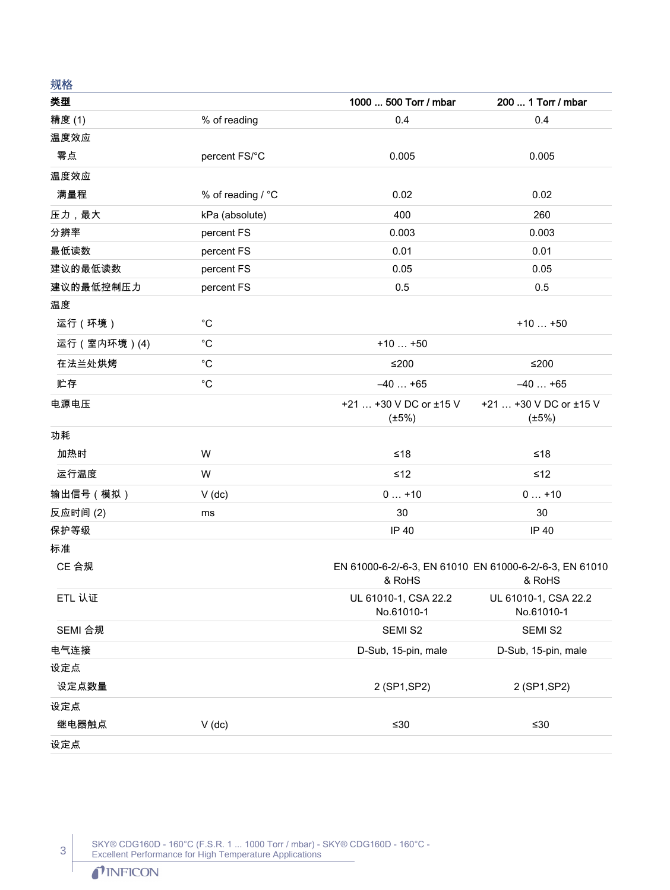| グロコロ         |                   |                                                                             |                                       |
|--------------|-------------------|-----------------------------------------------------------------------------|---------------------------------------|
| 类型           |                   | 1000  500 Torr / mbar                                                       | 200  1 Torr / mbar                    |
| 精度 (1)       | % of reading      | 0.4                                                                         | 0.4                                   |
| 温度效应         |                   |                                                                             |                                       |
| 零点           | percent FS/°C     | 0.005                                                                       | 0.005                                 |
| 温度效应         |                   |                                                                             |                                       |
| 满量程          | % of reading / °C | 0.02                                                                        | 0.02                                  |
| 压力,最大        | kPa (absolute)    | 400                                                                         | 260                                   |
| 分辨率          | percent FS        | 0.003                                                                       | 0.003                                 |
| 最低读数         | percent FS        | 0.01                                                                        | 0.01                                  |
| 建议的最低读数      | percent FS        | 0.05                                                                        | 0.05                                  |
| 建议的最低控制压力    | percent FS        | 0.5                                                                         | 0.5                                   |
| 温度           |                   |                                                                             |                                       |
| 运行 (环境)      | $^{\circ}C$       |                                                                             | $+10+50$                              |
| 运行 (室内环境)(4) | $^{\circ}C$       | $+10+50$                                                                    |                                       |
| 在法兰处烘烤       | $^{\circ}C$       | $≤200$                                                                      | $≤200$                                |
| 贮存           | $^{\circ}C$       | $-40+65$                                                                    | $-40+65$                              |
| 电源电压         |                   | +21  +30 V DC or ±15 V<br>$(\pm 5\%)$                                       | +21  +30 V DC or ±15 V<br>$(\pm 5\%)$ |
| 功耗           |                   |                                                                             |                                       |
| 加热时          | W                 | $≤18$                                                                       | ≤18                                   |
| 运行温度         | W                 | $\leq 12$                                                                   | ≤12                                   |
| 输出信号(模拟)     | $V$ (dc)          | $0+10$                                                                      | $0+10$                                |
| 反应时间(2)      | ms                | 30                                                                          | 30                                    |
| 保护等级         |                   | IP 40                                                                       | IP 40                                 |
| 标准           |                   |                                                                             |                                       |
| CE 合规        |                   | EN 61000-6-2/-6-3, EN 61010 EN 61000-6-2/-6-3, EN 61010<br>& RoHS<br>& RoHS |                                       |
| ETL 认证       |                   | UL 61010-1, CSA 22.2<br>No.61010-1                                          | UL 61010-1, CSA 22.2<br>No.61010-1    |
| SEMI 合规      |                   | SEMI S2                                                                     | SEMI S2                               |
| 电气连接         |                   | D-Sub, 15-pin, male                                                         | D-Sub, 15-pin, male                   |
| 设定点          |                   |                                                                             |                                       |
| 设定点数量        |                   | 2 (SP1, SP2)                                                                | 2 (SP1, SP2)                          |
| 设定点          |                   |                                                                             |                                       |
| 继电器触点        | $V$ (dc)          | $≤30$                                                                       | ≤ $30$                                |
| 设定点          |                   |                                                                             |                                       |

SKY® CDG160D - 160°C (F.S.R. 1 ... 1000 Torr / mbar) - SKY® CDG160D - 160°C - Excellent Performance for High Temperature Applications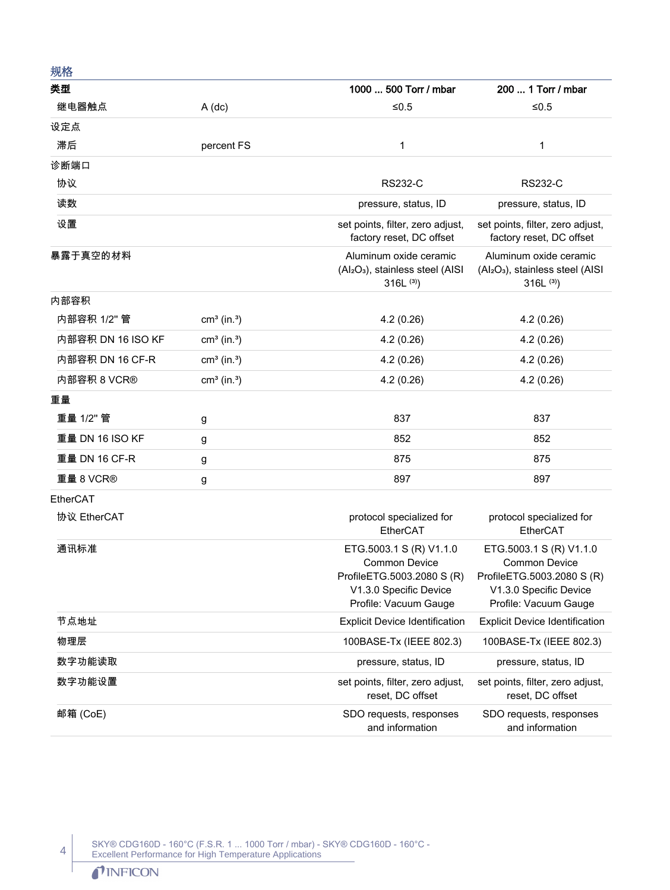| 规格              |                           |                                                                                                                                  |                                                                                                                                  |
|-----------------|---------------------------|----------------------------------------------------------------------------------------------------------------------------------|----------------------------------------------------------------------------------------------------------------------------------|
| 类型              |                           | 1000  500 Torr / mbar                                                                                                            | 200  1 Torr / mbar                                                                                                               |
| 继电器触点           | $A$ (dc)                  | $≤0.5$                                                                                                                           | $≤0.5$                                                                                                                           |
| 设定点             |                           |                                                                                                                                  |                                                                                                                                  |
| 滞后              | percent FS                | 1                                                                                                                                | 1                                                                                                                                |
| 诊断端口            |                           |                                                                                                                                  |                                                                                                                                  |
| 协议              |                           | <b>RS232-C</b>                                                                                                                   | <b>RS232-C</b>                                                                                                                   |
| 读数              |                           | pressure, status, ID                                                                                                             | pressure, status, ID                                                                                                             |
| 设置              |                           | set points, filter, zero adjust,<br>factory reset, DC offset                                                                     | set points, filter, zero adjust,<br>factory reset, DC offset                                                                     |
| 暴露于真空的材料        |                           | Aluminum oxide ceramic<br>(Al <sub>2</sub> O <sub>3</sub> ), stainless steel (AISI<br>$316L^{(3)}$                               | Aluminum oxide ceramic<br>(Al <sub>2</sub> O <sub>3</sub> ), stainless steel (AISI<br>$316L^{(3)}$                               |
| 内部容积            |                           |                                                                                                                                  |                                                                                                                                  |
| 内部容积 1/2" 管     | $cm3$ (in. <sup>3</sup> ) | 4.2(0.26)                                                                                                                        | 4.2(0.26)                                                                                                                        |
|                 | $cm3$ (in. <sup>3</sup> ) | 4.2(0.26)                                                                                                                        | 4.2(0.26)                                                                                                                        |
| 内部容积 DN 16 CF-R | $cm3$ (in. <sup>3</sup> ) | 4.2(0.26)                                                                                                                        | 4.2(0.26)                                                                                                                        |
| 内部容积 8 VCR®     | $cm3$ (in. <sup>3</sup> ) | 4.2(0.26)                                                                                                                        | 4.2(0.26)                                                                                                                        |
| 重量              |                           |                                                                                                                                  |                                                                                                                                  |
| 重量 1/2" 管       | g                         | 837                                                                                                                              | 837                                                                                                                              |
| 重量 DN 16 ISO KF | g                         | 852                                                                                                                              | 852                                                                                                                              |
| 重量 DN 16 CF-R   | g                         | 875                                                                                                                              | 875                                                                                                                              |
| 重量 8 VCR®       | g                         | 897                                                                                                                              | 897                                                                                                                              |
| EtherCAT        |                           |                                                                                                                                  |                                                                                                                                  |
| 协议 EtherCAT     |                           | protocol specialized for<br>EtherCAT                                                                                             | protocol specialized for<br>EtherCAT                                                                                             |
| 通讯标准            |                           | ETG.5003.1 S (R) V1.1.0<br><b>Common Device</b><br>ProfileETG.5003.2080 S (R)<br>V1.3.0 Specific Device<br>Profile: Vacuum Gauge | ETG.5003.1 S (R) V1.1.0<br><b>Common Device</b><br>ProfileETG.5003.2080 S (R)<br>V1.3.0 Specific Device<br>Profile: Vacuum Gauge |
| 节点地址            |                           | <b>Explicit Device Identification</b>                                                                                            | <b>Explicit Device Identification</b>                                                                                            |
| 物理层             |                           | 100BASE-Tx (IEEE 802.3)                                                                                                          | 100BASE-Tx (IEEE 802.3)                                                                                                          |
| 数字功能读取          |                           | pressure, status, ID                                                                                                             | pressure, status, ID                                                                                                             |
| 数字功能设置          |                           | set points, filter, zero adjust,<br>reset, DC offset                                                                             | set points, filter, zero adjust,<br>reset, DC offset                                                                             |
| 邮箱 (CoE)        |                           | SDO requests, responses<br>and information                                                                                       | SDO requests, responses<br>and information                                                                                       |

SKY® CDG160D - 160°C (F.S.R. 1 ... 1000 Torr / mbar) - SKY® CDG160D - 160°C - Excellent Performance for High Temperature Applications

## TINFICON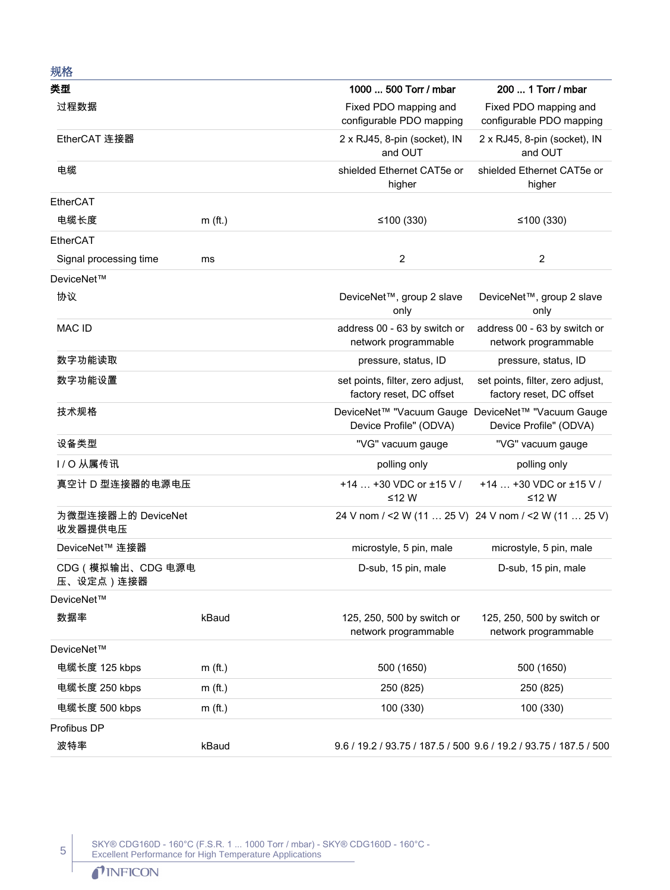| 规格                             |           |                                                                             |                                                              |
|--------------------------------|-----------|-----------------------------------------------------------------------------|--------------------------------------------------------------|
| 类型                             |           | 1000  500 Torr / mbar                                                       | 200  1 Torr / mbar                                           |
| 过程数据                           |           | Fixed PDO mapping and<br>configurable PDO mapping                           | Fixed PDO mapping and<br>configurable PDO mapping            |
| EtherCAT 连接器                   |           | 2 x RJ45, 8-pin (socket), IN<br>and OUT                                     | 2 x RJ45, 8-pin (socket), IN<br>and OUT                      |
| 电缆                             |           | shielded Ethernet CAT5e or<br>higher                                        | shielded Ethernet CAT5e or<br>higher                         |
| EtherCAT                       |           |                                                                             |                                                              |
| 电缆长度                           | $m$ (ft.) | ≤100 $(330)$                                                                | ≤100 $(330)$                                                 |
| EtherCAT                       |           |                                                                             |                                                              |
| Signal processing time         | ms        | $\overline{2}$                                                              | $\overline{2}$                                               |
| DeviceNet™                     |           |                                                                             |                                                              |
| 协议                             |           | DeviceNet™, group 2 slave<br>only                                           | DeviceNet™, group 2 slave<br>only                            |
| MAC ID                         |           | address 00 - 63 by switch or<br>network programmable                        | address 00 - 63 by switch or<br>network programmable         |
| 数字功能读取                         |           | pressure, status, ID                                                        | pressure, status, ID                                         |
| 数字功能设置                         |           | set points, filter, zero adjust,<br>factory reset, DC offset                | set points, filter, zero adjust,<br>factory reset, DC offset |
| 技术规格                           |           | DeviceNet™ "Vacuum Gauge DeviceNet™ "Vacuum Gauge<br>Device Profile" (ODVA) | Device Profile" (ODVA)                                       |
| 设备类型                           |           | "VG" vacuum gauge                                                           | "VG" vacuum gauge                                            |
| I/O 从属传讯                       |           | polling only                                                                | polling only                                                 |
| 真空计 D 型连接器的电源电压                |           | +14  +30 VDC or ±15 V /<br>≤12 W                                            | +14  +30 VDC or ±15 V /<br>≤12 W                             |
| 为微型连接器上的 DeviceNet<br>收发器提供电压  |           | 24 V nom / <2 W (11  25 V) 24 V nom / <2 W (11  25 V)                       |                                                              |
| DeviceNet™ 连接器                 |           | microstyle, 5 pin, male                                                     | microstyle, 5 pin, male                                      |
| CDG (模拟输出、CDG 电源电<br>压、设定点)连接器 |           | D-sub, 15 pin, male                                                         | D-sub, 15 pin, male                                          |
| DeviceNet™                     |           |                                                                             |                                                              |
| 数据率                            | kBaud     | 125, 250, 500 by switch or<br>network programmable                          | 125, 250, 500 by switch or<br>network programmable           |
| DeviceNet™                     |           |                                                                             |                                                              |
| 电缆长度 125 kbps                  | $m$ (ft.) | 500 (1650)                                                                  | 500 (1650)                                                   |
| 电缆长度 250 kbps                  | $m$ (ft.) | 250 (825)                                                                   | 250 (825)                                                    |
| 电缆长度 500 kbps                  | $m$ (ft.) | 100 (330)                                                                   | 100 (330)                                                    |
| Profibus DP                    |           |                                                                             |                                                              |
| 波特率                            | kBaud     | 9.6 / 19.2 / 93.75 / 187.5 / 500 9.6 / 19.2 / 93.75 / 187.5 / 500           |                                                              |

SKY® CDG160D - 160°C (F.S.R. 1 ... 1000 Torr / mbar) - SKY® CDG160D - 160°C - Excellent Performance for High Temperature Applications